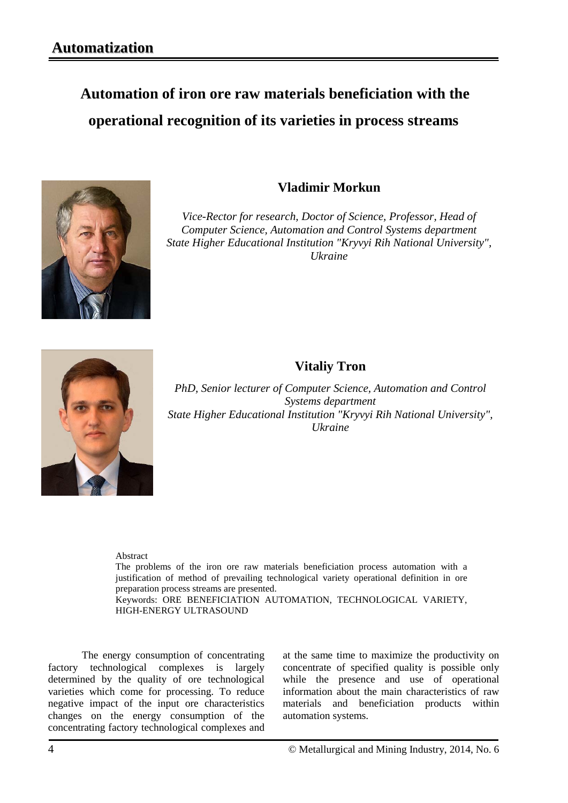## **Automation of iron ore raw materials beneficiation with the operational recognition of its varieties in process streams**



## **Vladimir Morkun**

*Vice-Rector for research, Doctor of Science, Professor, Head of Computer Science, Automation and Control Systems department State Higher Educational Institution "Kryvyi Rih National University", Ukraine*



## **Vitaliy Tron**

*PhD, Senior lecturer of Computer Science, Automation and Control Systems department State Higher Educational Institution "Kryvyi Rih National University", Ukraine*

Abstract

The problems of the iron ore raw materials beneficiation process automation with a justification of method of prevailing technological variety operational definition in ore preparation process streams are presented. Keywords: ORE BENEFICIATION AUTOMATION, TECHNOLOGICAL VARIETY, HIGH-ENERGY ULTRASOUND

The energy consumption of concentrating factory technological complexes is largely determined by the quality of ore technological varieties which come for processing. To reduce negative impact of the input ore characteristics changes on the energy consumption of the concentrating factory technological complexes and at the same time to maximize the productivity on concentrate of specified quality is possible only while the presence and use of operational information about the main characteristics of raw materials and beneficiation products within automation systems.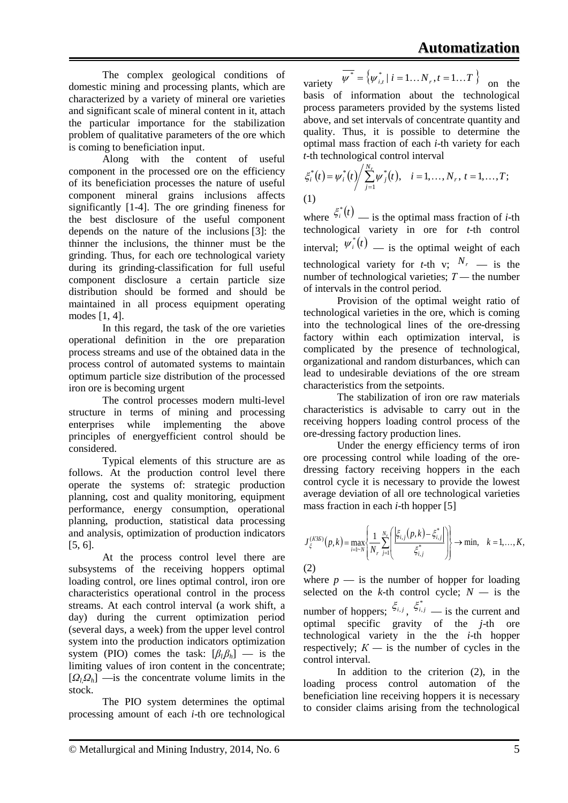The complex geological conditions of domestic mining and processing plants, which are characterized by a variety of mineral ore varieties and significant scale of mineral content in it, attach the particular importance for the stabilization problem of qualitative parameters of the ore which is coming to beneficiation input.

Along with the content of useful component in the processed ore on the efficiency of its beneficiation processes the nature of useful component mineral grains inclusions affects significantly [1-4]. The ore grinding fineness for the best disclosure of the useful component depends on the nature of the inclusions [3]: the thinner the inclusions, the thinner must be the grinding. Thus, for each ore technological variety during its grinding-classification for full useful component disclosure a certain particle size distribution should be formed and should be maintained in all process equipment operating modes [1, 4].

In this regard, the task of the ore varieties operational definition in the ore preparation process streams and use of the obtained data in the process control of automated systems to maintain optimum particle size distribution of the processed iron ore is becoming urgent

The control processes modern multi-level structure in terms of mining and processing enterprises while implementing the above principles of energyefficient control should be considered.

Typical elements of this structure are as follows. At the production control level there operate the systems of: strategic production planning, cost and quality monitoring, equipment performance, energy consumption, operational planning, production, statistical data processing and analysis, optimization of production indicators [5, 6].

At the process control level there are subsystems of the receiving hoppers optimal loading control, ore lines optimal control, iron ore characteristics operational control in the process streams. At each control interval (a work shift, a day) during the current optimization period (several days, a week) from the upper level control system into the production indicators optimization system (PIO) comes the task:  $[\beta_l \beta_h]$  — is the limiting values of iron content in the concentrate;  $[Q_1Q_1]$  —is the concentrate volume limits in the stock.

The PIO system determines the optimal processing amount of each *i*-th ore technological

\n variety \n 
$$
\overline{\psi^*} = \{\psi_{i,t}^* \mid i = 1 \dots N_r, t = 1 \dots T\}
$$
\n on the basis of information about the technological process parameters provided by the systems listed above, and set intervals of concentrate quantity and quality. Thus, it is possible to determine the optimal mass fraction of each *i*-th variety for each *t*-th technological control interval.\n

$$
\xi_i^*(t) = \psi_i^*(t) / \sum_{j=1}^{N_r} \psi_j^*(t), \quad i = 1, ..., N_r, \ t = 1, ..., T;
$$
\n(1)

where  $\xi_i^*(t)$  — is the optimal mass fraction of *i*-th technological variety in ore for *t*-th control interval;  $\psi_i^*(t)$  — is the optimal weight of each technological variety for *t*-th v;  $N_r$  — is the number of technological varieties;  $T$  — the number of intervals in the control period.

Provision of the optimal weight ratio of technological varieties in the ore, which is coming into the technological lines of the ore-dressing factory within each optimization interval, is complicated by the presence of technological, organizational and random disturbances, which can lead to undesirable deviations of the ore stream characteristics from the setpoints.

The stabilization of iron ore raw materials characteristics is advisable to carry out in the receiving hoppers loading control process of the ore-dressing factory production lines.

Under the energy efficiency terms of iron ore processing control while loading of the oredressing factory receiving hoppers in the each control cycle it is necessary to provide the lowest average deviation of all ore technological varieties mass fraction in each *i*-th hopper [5]

$$
J_{\xi}^{(K3B)}(p,k) = \max_{i=1-N} \left\{ \frac{1}{N_r} \sum_{j=1}^{N_r} \left( \frac{\left| \xi_{i,j}(p,k) - \xi_{i,j}^* \right|}{\xi_{i,j}^*} \right) \right\} \to \min, \quad k = 1,\dots,K,
$$

(2) where  $p$  — is the number of hopper for loading selected on the  $k$ -th control cycle;  $N -$  is the number of hoppers:  $\xi_{i,j}$ ,  $\xi_{i,j}^*$  — is the current and optimal specific gravity of the *j*-th ore technological variety in the the *i*-th hopper respectively;  $K -$  is the number of cycles in the control interval.

In addition to the criterion (2), in the loading process control automation of the beneficiation line receiving hoppers it is necessary to consider claims arising from the technological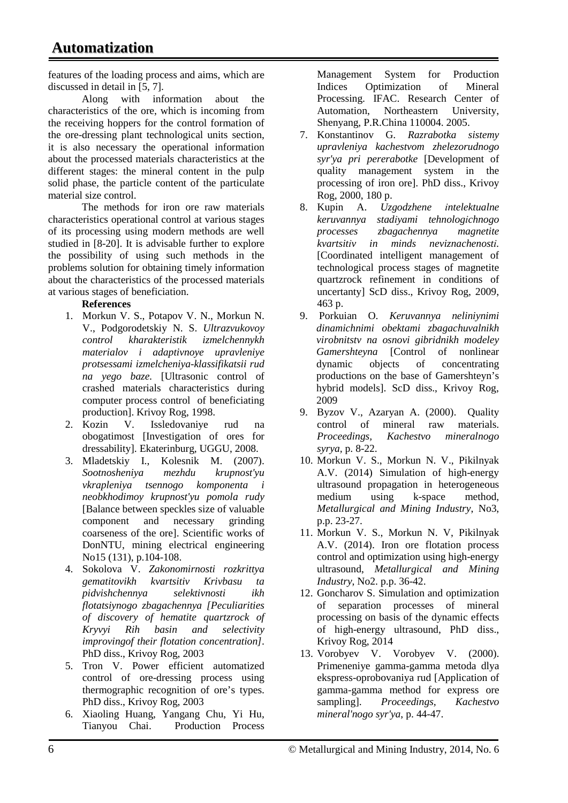features of the loading process and aims, which are discussed in detail in [5, 7].

Along with information about the characteristics of the ore, which is incoming from the receiving hoppers for the control formation of the ore-dressing plant technological units section, it is also necessary the operational information about the processed materials characteristics at the different stages: the mineral content in the pulp solid phase, the particle content of the particulate material size control.

The methods for iron ore raw materials characteristics operational control at various stages of its processing using modern methods are well studied in [8-20]. It is advisable further to explore the possibility of using such methods in the problems solution for obtaining timely information about the characteristics of the processed materials at various stages of beneficiation.

## **References**

- 1. Morkun V. S., Potapov V. N., Morkun N. V., Podgorodetskiy N. S. *Ultrazvukovoy control kharakteristik izmelchennykh materialov i adaptivnoye upravleniye protsessami izmelcheniya-klassifikatsii rud na yego baze.* [Ultrasonic control of crashed materials characteristics during computer process control of beneficiating production]. Krivoy Rog, 1998.
- 2. Kozin V. Issledovaniye rud na obogatimost [Investigation of ores for dressability]. Ekaterinburg, UGGU, 2008.
- 3. Mladetskiy I., Kolesnik M. (2007). *Sootnosheniya mezhdu krupnost'yu vkrapleniya tsennogo komponenta i neobkhodimoy krupnost'yu pomola rudy* [Balance between speckles size of valuable component and necessary grinding coarseness of the ore]. Scientific works of DonNTU, mining electrical engineering No15 (131), p.104-108.
- 4. Sokolova V. *Zakonomirnosti rozkrittya gematitovikh kvartsitiv Krivbasu ta pidvishchennya selektivnosti ikh flotatsiynogo zbagachennya [Peculiarities of discovery of hematite quartzrock of Kryvyi Rih basin and selectivity improvingof their flotation concentration]*. PhD diss., Krivoy Rog, 2003
- 5. Tron V. Power efficient automatized control of ore-dressing process using thermographic recognition of ore's types. PhD diss., Krivoy Rog, 2003
- 6. Xiaoling Huang, Yangang Chu, Yi Hu, Tianyou Chai. Production Process

Management System for Production Indices Optimization of Mineral Processing. IFAC. Research Center of Automation, Northeastern University, Shenyang, P.R.China 110004. 2005.

- 7. Konstantinov G. *Razrabotka sistemy upravleniya kachestvom zhelezorudnogo syr'ya pri pererabotke* [Development of quality management system in the processing of iron ore]. PhD diss., Krivoy Rog, 2000, 180 p.
- 8. Kupіn A. *Uzgodzhene іntelektualne keruvannya stadіyami tehnologіchnogo processes zbagachennya magnetite kvartsitіv in minds neviznachenostі.* [Coordinated intelligent management of technological process stages of magnetite quartzrock refinement in conditions of uncertanty] ScD diss., Krivoy Rog, 2009, 463 p.
- 9. Porkuian O. *Keruvannya neliniynimi dinamichnimi obektami zbagachuvalnikh virobnitstv na osnovi gibridnikh modeley Gamershteyna* [Control of nonlinear dynamic objects of concentrating productions on the base of Gamershteyn's hybrid models]. ScD diss., Krivoy Rog, 2009
- 9. Byzov V., Azaryan A. (2000). Quality control of mineral raw materials. *Proceedings, Kachestvo mineralnogo syrya,* p. 8-22.
- 10. Morkun V. S., Morkun N. V., Pikilnyak A.V. (2014) Simulation of high-energy ultrasound propagation in heterogeneous<br>medium using k-space method, medium using k-space method, *Metallurgical and Mining Industry*, No3, p.p. 23-27.
- 11. Morkun V. S., Morkun N. V, Pikilnyak A.V. (2014). Iron ore flotation process control and optimization using high-energy ultrasound, *Metallurgical and Mining Industry*, No2. p.p. 36-42.
- 12. Goncharov S. Simulation and optimization of separation processes of mineral processing on basis of the dynamic effects of high-energy ultrasound, PhD diss., Krivoy Rog, 2014
- 13. Vorobyev V. Vorobyev V. (2000). Primeneniye gamma-gamma metoda dlya ekspress-oprobovaniya rud [Application of gamma-gamma method for express ore sampling]. *Proceedings, Kachestvo mineral'nogo syr'ya*, p. 44-47.